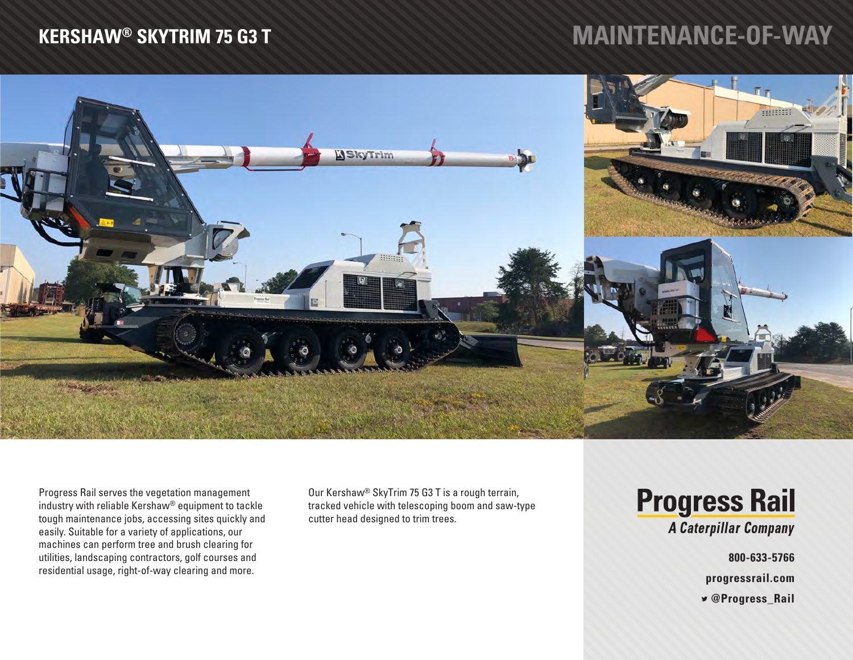## **KERSHAW® SKYTRIM 75 G3 T**

## **MAINTENANCE-OF-WAY**



Progress Rail serves the vegetation management industry with reliable Kershaw® equipment to tackle tough maintenance jobs, accessing sites quickly and easily. Suitable for a variety of applications, our machines can perform tree and brush clearing for utilities, landscaping contractors, golf courses and residential usage, right-of-way clearing and more.

Our Kershaw® SkyTrim 75 G3 T is a rough terrain, tracked vehicle with telescoping boom and saw-type cutter head designed to trim trees.

**Progress Rail** A Caterpillar Company

**800-633-5766**

**progressrail.com**

 **@Progress\_Rail**